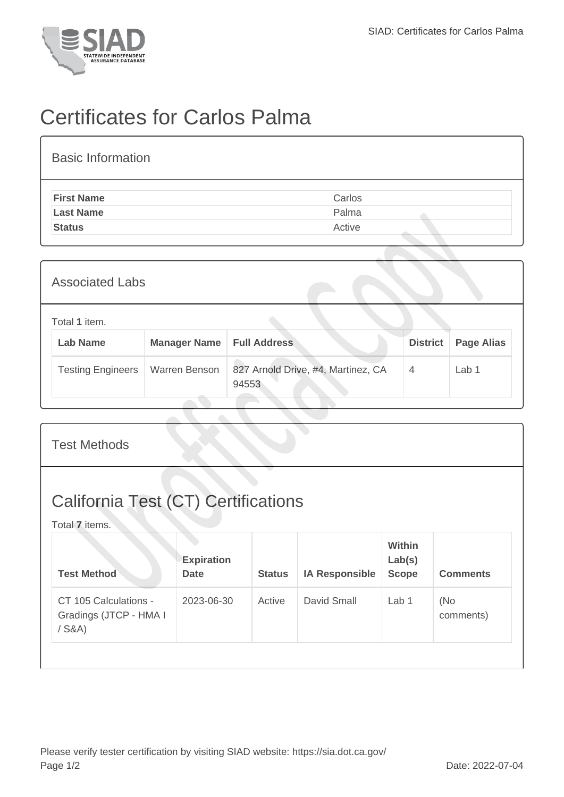

## Certificates for Carlos Palma

| <b>Basic Information</b> |        |  |  |  |  |  |
|--------------------------|--------|--|--|--|--|--|
| <b>First Name</b>        | Carlos |  |  |  |  |  |
| <b>Last Name</b>         | Palma  |  |  |  |  |  |
| <b>Status</b>            | Active |  |  |  |  |  |

| <b>Associated Labs</b>           |                     |                                             |                 |                   |  |  |  |
|----------------------------------|---------------------|---------------------------------------------|-----------------|-------------------|--|--|--|
| Total 1 item.<br><b>Lab Name</b> | <b>Manager Name</b> | <b>Full Address</b>                         | <b>District</b> | <b>Page Alias</b> |  |  |  |
| <b>Testing Engineers</b>         | Warren Benson       | 827 Arnold Drive, #4, Martinez, CA<br>94553 | $\overline{4}$  | Lab 1             |  |  |  |

| <b>Test Methods</b>                                          |                                  |               |                       |                                         |                  |  |  |
|--------------------------------------------------------------|----------------------------------|---------------|-----------------------|-----------------------------------------|------------------|--|--|
| <b>California Test (CT) Certifications</b><br>Total 7 items. |                                  |               |                       |                                         |                  |  |  |
| <b>Test Method</b>                                           | <b>Expiration</b><br><b>Date</b> | <b>Status</b> | <b>IA Responsible</b> | <b>Within</b><br>Lab(s)<br><b>Scope</b> | <b>Comments</b>  |  |  |
| CT 105 Calculations -<br>Gradings (JTCP - HMA I<br>$/$ S&A)  | 2023-06-30                       | Active        | David Small           | Lab 1                                   | (No<br>comments) |  |  |
|                                                              |                                  |               |                       |                                         |                  |  |  |